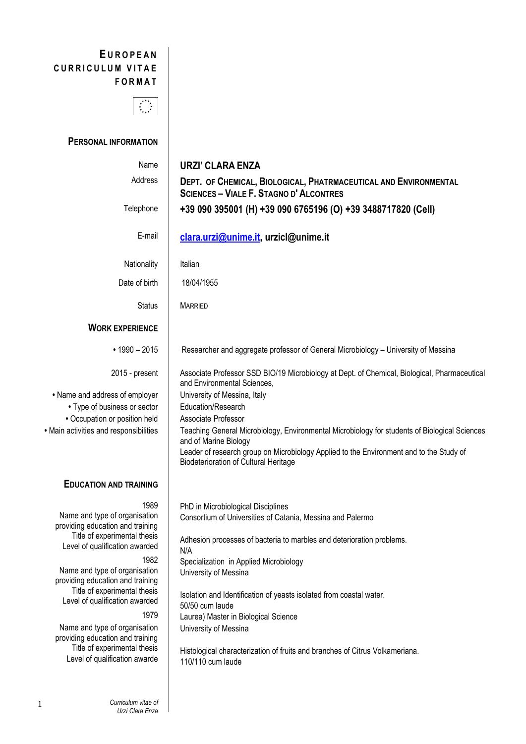# **E U R O P E A N** CURRICULUM VITAE **F O R M A T**



# **PERSONAL INFORMATION**

| Name                                                              | <b>URZI' CLARA ENZA</b>                                                                                                                 |
|-------------------------------------------------------------------|-----------------------------------------------------------------------------------------------------------------------------------------|
| Address                                                           | DEPT. OF CHEMICAL, BIOLOGICAL, PHATRMACEUTICAL AND ENVIRONMENTAL<br><b>SCIENCES - VIALE F. STAGNO D'ALCONTRES</b>                       |
| Telephone                                                         | +39 090 395001 (H) +39 090 6765196 (O) +39 3488717820 (Cell)                                                                            |
| E-mail                                                            | clara.urzi@unime.it, urzicl@unime.it                                                                                                    |
| Nationality                                                       | Italian                                                                                                                                 |
| Date of birth                                                     | 18/04/1955                                                                                                                              |
| <b>Status</b>                                                     | <b>MARRIED</b>                                                                                                                          |
| <b>WORK EXPERIENCE</b>                                            |                                                                                                                                         |
| $\cdot$ 1990 - 2015                                               | Researcher and aggregate professor of General Microbiology - University of Messina                                                      |
| 2015 - present                                                    | Associate Professor SSD BIO/19 Microbiology at Dept. of Chemical, Biological, Pharmaceutical<br>and Environmental Sciences,             |
| • Name and address of employer                                    | University of Messina, Italy                                                                                                            |
| • Type of business or sector                                      | Education/Research                                                                                                                      |
| • Occupation or position held                                     | Associate Professor                                                                                                                     |
| · Main activities and responsibilities                            | Teaching General Microbiology, Environmental Microbiology for students of Biological Sciences<br>and of Marine Biology                  |
|                                                                   | Leader of research group on Microbiology Applied to the Environment and to the Study of<br><b>Biodeterioration of Cultural Heritage</b> |
| <b>EDUCATION AND TRAINING</b>                                     |                                                                                                                                         |
| 1989                                                              | PhD in Microbiological Disciplines                                                                                                      |
| Name and type of organisation<br>providing education and training | Consortium of Universities of Catania, Messina and Palermo                                                                              |
| Title of experimental thesis<br>Level of qualification awarded    | Adhesion processes of bacteria to marbles and deterioration problems.<br>N/A                                                            |
| 1982                                                              | Specialization in Applied Microbiology                                                                                                  |
| Name and type of organisation<br>providing education and training | University of Messina                                                                                                                   |
| Title of experimental thesis                                      | Isolation and Identification of yeasts isolated from coastal water.                                                                     |
| Level of qualification awarded                                    | 50/50 cum laude                                                                                                                         |
| 1979                                                              | Laurea) Master in Biological Science                                                                                                    |
| Name and type of organisation<br>providing education and training | University of Messina                                                                                                                   |
| Title of experimental thesis                                      | Histological characterization of fruits and branches of Citrus Volkameriana.                                                            |
| Level of qualification awarde                                     | 110/110 cum laude                                                                                                                       |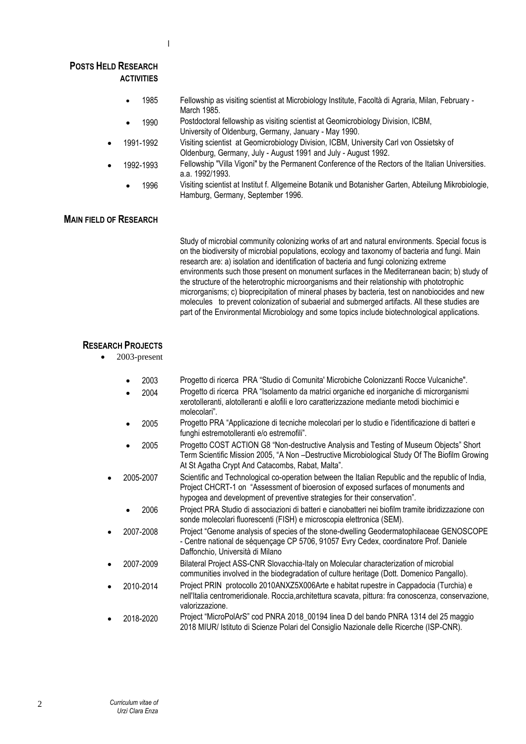Ι

#### **POSTS HELD RESEARCH ACTIVITIES**

- 1985 Fellowship as visiting scientist at Microbiology Institute, Facoltà di Agraria, Milan, February March 1985.
- 1990 Postdoctoral fellowship as visiting scientist at Geomicrobiology Division, ICBM, University of Oldenburg, Germany, January - May 1990.
- 1991-1992 Visiting scientist at Geomicrobiology Division, ICBM, University Carl von Ossietsky of Oldenburg, Germany, July - August 1991 and July - August 1992.
- 1992-1993 Fellowship "Villa Vigoni" by the Permanent Conference of the Rectors of the Italian Universities. a.a. 1992/1993.
	- 1996 Visiting scientist at Institut f. Allgemeine Botanik und Botanisher Garten, Abteilung Mikrobiologie, Hamburg, Germany, September 1996.

# **MAIN FIELD OF RESEARCH**

Study of microbial community colonizing works of art and natural environments. Special focus is on the biodiversity of microbial populations, ecology and taxonomy of bacteria and fungi. Main research are: a) isolation and identification of bacteria and fungi colonizing extreme environments such those present on monument surfaces in the Mediterranean bacin; b) study of the structure of the heterotrophic microorganisms and their relationship with phototrophic microrganisms; c) bioprecipitation of mineral phases by bacteria, test on nanobiocides and new molecules to prevent colonization of subaerial and submerged artifacts. All these studies are part of the Environmental Microbiology and some topics include biotechnological applications.

# **RESEARCH PROJECTS**

- 2003-present
	- 2003 Progetto di ricerca PRA "Studio di Comunita' Microbiche Colonizzanti Rocce Vulcaniche".
	- 2004 Progetto di ricerca PRA "Isolamento da matrici organiche ed inorganiche di microrganismi xerotolleranti, alotolleranti e alofili e loro caratterizzazione mediante metodi biochimici e molecolari".
	- 2005 Progetto PRA "Applicazione di tecniche molecolari per lo studio e l'identificazione di batteri e funghi estremotolleranti e/o estremofili".
	- 2005 Progetto COST ACTION G8 "Non-destructive Analysis and Testing of Museum Objects" Short Term Scientific Mission 2005, "A Non –Destructive Microbiological Study Of The Biofilm Growing At St Agatha Crypt And Catacombs, Rabat, Malta".
	- 2005-2007 Scientific and Technological co-operation between the Italian Republic and the republic of India, Project CHCRT-1 on "Assessment of bioerosion of exposed surfaces of monuments and hypogea and development of preventive strategies for their conservation".
		- 2006 Project PRA Studio di associazioni di batteri e cianobatteri nei biofilm tramite ibridizzazione con sonde molecolari fluorescenti (FISH) e microscopia elettronica (SEM).
- 2007-2008 Project "Genome analysis of species of the stone-dwelling Geodermatophilaceae GENOSCOPE - Centre national de séquençage CP 5706, 91057 Evry Cedex, coordinatore Prof. Daniele Daffonchio, Università di Milano
- 2007-2009 Bilateral Project ASS-CNR Slovacchia-Italy on Molecular characterization of microbial communities involved in the biodegradation of culture heritage (Dott. Domenico Pangallo).
- 2010-2014 Project PRIN protocollo 2010ANXZ5X006Arte e habitat rupestre in Cappadocia (Turchia) e nell'Italia centromeridionale. Roccia,architettura scavata, pittura: fra conoscenza, conservazione, valorizzazione.
- 2018-2020 Project "MicroPolArS" cod PNRA 2018\_00194 linea D del bando PNRA 1314 del 25 maggio 2018 MIUR/ Istituto di Scienze Polari del Consiglio Nazionale delle Ricerche (ISP-CNR).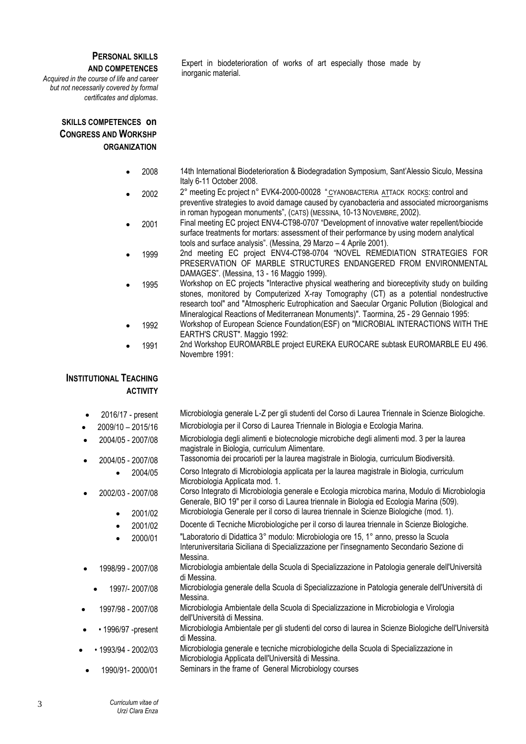#### **PERSONAL SKILLS AND COMPETENCES**

*Acquired in the course of life and career but not necessarily covered by formal certificates and diplomas*.

# **SKILLS COMPETENCES on CONGRESS AND WORKSHP ORGANIZATION**

Expert in biodeterioration of works of art especially those made by inorganic material.

- 2008 14th International Biodeterioration & Biodegradation Symposium, Sant'Alessio Siculo, Messina Italy 6-11 October 2008.
- 2002 <sup>2</sup>° meeting Ec project n° EVK4-2000-00028 " CYANOBACTERIA ATTACK ROCKS: control and preventive strategies to avoid damage caused by cyanobacteria and associated microorganisms in roman hypogean monuments", (CATS) (MESSINA, 10-13 NOVEMBRE, 2002).
- 2001 Final meeting EC project ENV4-CT98-0707 "Development of innovative water repellent/biocide surface treatments for mortars: assessment of their performance by using modern analytical tools and surface analysis". (Messina, 29 Marzo – 4 Aprile 2001).
- 1999 2nd meeting EC project ENV4-CT98-0704 "NOVEL REMEDIATION STRATEGIES FOR PRESERVATION OF MARBLE STRUCTURES ENDANGERED FROM ENVIRONMENTAL DAMAGES". (Messina, 13 - 16 Maggio 1999).
- 1995 Workshop on EC projects "Interactive physical weathering and bioreceptivity study on building stones, monitored by Computerized X-ray Tomography (CT) as a potential nondestructive research tool" and "Atmospheric Eutrophication and Saecular Organic Pollution (Biological and Mineralogical Reactions of Mediterranean Monuments)". Taormina, 25 - 29 Gennaio 1995:
	- 1992 Workshop of European Science Foundation(ESF) on "MICROBIAL INTERACTIONS WITH THE EARTH'S CRUST". Maggio 1992:
- 1991 2nd Workshop EUROMARBLE project EUREKA EUROCARE subtask EUROMARBLE EU 496. Novembre 1991:

# **INSTITUTIONAL TEACHING ACTIVITY**

- 2016/17 present Microbiologia generale L-Z per gli studenti del Corso di Laurea Triennale in Scienze Biologiche.
- 2009/10 2015/16 Microbiologia per il Corso di Laurea Triennale in Biologia e Ecologia Marina.
- 2004/05 2007/08 Microbiologia degli alimenti e biotecnologie microbiche degli alimenti mod. 3 per la laurea magistrale in Biologia, curriculum Alimentare.
	- 2004/05 2007/08 Tassonomia dei procarioti per la laurea magistrale in Biologia, curriculum Biodiversità.
		- 2004/05 Corso Integrato di Microbiologia applicata per la laurea magistrale in Biologia, curriculum Microbiologia Applicata mod. 1.
		- 2002/03 2007/08 Corso Integrato di Microbiologia generale e Ecologia microbica marina, Modulo di Microbiologia Generale, BIO 19" per il corso di Laurea triennale in Biologia ed Ecologia Marina (509). • 2001/02 Microbiologia Generale per il corso di laurea triennale in Scienze Biologiche (mod. 1).
			- 2001/02 Docente di Tecniche Microbiologiche per il corso di laurea triennale in Scienze Biologiche.
			- 2000/01 "Laboratorio di Didattica 3° modulo: Microbiologia ore 15, 1° anno, presso la Scuola
			- Interuniversitaria Siciliana di Specializzazione per l'insegnamento Secondario Sezione di Messina.
- 1998/99 2007/08 Microbiologia ambientale della Scuola di Specializzazione in Patologia generale dell'Università di Messina.
- 1997/- 2007/08 Microbiologia generale della Scuola di Specializzazione in Patologia generale dell'Università di Messina.
- 1997/98 2007/08 Microbiologia Ambientale della Scuola di Specializzazione in Microbiologia e Virologia dell'Università di Messina.
- • 1996/97 -present Microbiologia Ambientale per gli studenti del corso di laurea in Scienze Biologiche dell'Università di Messina.
- • 1993/94 2002/03 Microbiologia generale e tecniche microbiologiche della Scuola di Specializzazione in Microbiologia Applicata dell'Università di Messina.
- 1990/91- 2000/01 Seminars in the frame of General Microbiology courses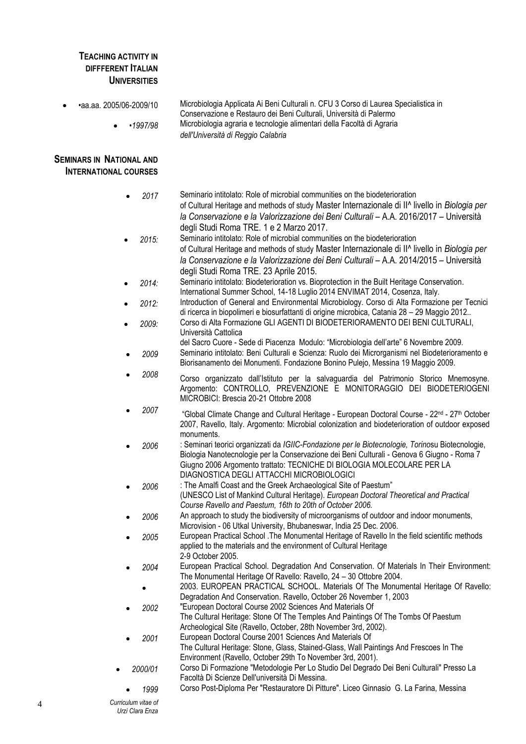# **TEACHING ACTIVITY IN DIFFFERENT ITALIAN UNIVERSITIES**

• •aa.aa. 2005/06-2009/10 Microbiologia Applicata Ai Beni Culturali n. CFU 3 Corso di Laurea Specialistica in Conservazione e Restauro dei Beni Culturali, Università di Palermo • •*1997/98* Microbiologia agraria e tecnologie alimentari della Facoltà di Agraria *dell'Università di Reggio Calabria*

# **SEMINARS IN NATIONAL AND INTERNATIONAL COURSES**

| 2017      | Seminario intitolato: Role of microbial communities on the biodeterioration<br>of Cultural Heritage and methods of study Master Internazionale di II^ livello in Biologia per<br>la Conservazione e la Valorizzazione dei Beni Culturali - A.A. 2016/2017 - Università                                                |
|-----------|-----------------------------------------------------------------------------------------------------------------------------------------------------------------------------------------------------------------------------------------------------------------------------------------------------------------------|
|           | degli Studi Roma TRE. 1 e 2 Marzo 2017.                                                                                                                                                                                                                                                                               |
| 2015:     | Seminario intitolato: Role of microbial communities on the biodeterioration<br>of Cultural Heritage and methods of study Master Internazionale di II^ livello in Biologia per<br>la Conservazione e la Valorizzazione dei Beni Culturali - A.A. 2014/2015 - Università<br>degli Studi Roma TRE. 23 Aprile 2015.       |
| 2014:     | Seminario intitolato: Biodeterioration vs. Bioprotection in the Built Heritage Conservation.<br>International Summer School, 14-18 Luglio 2014 ENVIMAT 2014, Cosenza, Italy.                                                                                                                                          |
| 2012:     | Introduction of General and Environmental Microbiology. Corso di Alta Formazione per Tecnici<br>di ricerca in biopolimeri e biosurfattanti di origine microbica, Catania 28 - 29 Maggio 2012                                                                                                                          |
| 2009:     | Corso di Alta Formazione GLI AGENTI DI BIODETERIORAMENTO DEI BENI CULTURALI,<br>Università Cattolica<br>del Sacro Cuore - Sede di Piacenza Modulo: "Microbiologia dell'arte" 6 Novembre 2009.                                                                                                                         |
| 2009      | Seminario intitolato: Beni Culturali e Scienza: Ruolo dei Microrganismi nel Biodeterioramento e<br>Biorisanamento dei Monumenti. Fondazione Bonino Pulejo, Messina 19 Maggio 2009.                                                                                                                                    |
| 2008      | Corso organizzato dall'Istituto per la salvaguardia del Patrimonio Storico Mnemosyne.<br>Argomento: CONTROLLO, PREVENZIONE E MONITORAGGIO DEI BIODETERIOGENI<br>MICROBICI: Brescia 20-21 Ottobre 2008                                                                                                                 |
| 2007      | "Global Climate Change and Cultural Heritage - European Doctoral Course - 22 <sup>nd</sup> - 27 <sup>th</sup> October<br>2007, Ravello, Italy. Argomento: Microbial colonization and biodeterioration of outdoor exposed<br>monuments.                                                                                |
| 2006      | : Seminari teorici organizzati da IGIIC-Fondazione per le Biotecnologie, Torinosu Biotecnologie,<br>Biologia Nanotecnologie per la Conservazione dei Beni Culturali - Genova 6 Giugno - Roma 7<br>Giugno 2006 Argomento trattato: TECNICHE DI BIOLOGIA MOLECOLARE PER LA<br>DIAGNOSTICA DEGLI ATTACCHI MICROBIOLOGICI |
| 2006      | : The Amalfi Coast and the Greek Archaeological Site of Paestum"<br>(UNESCO List of Mankind Cultural Heritage). European Doctoral Theoretical and Practical<br>Course Ravello and Paestum, 16th to 20th of October 2006.                                                                                              |
| 2006      | An approach to study the biodiversity of microorganisms of outdoor and indoor monuments,<br>Microvision - 06 Utkal University, Bhubaneswar, India 25 Dec. 2006.                                                                                                                                                       |
| 2005      | European Practical School . The Monumental Heritage of Ravello In the field scientific methods<br>applied to the materials and the environment of Cultural Heritage<br>2-9 October 2005.                                                                                                                              |
| 2004      | European Practical School. Degradation And Conservation. Of Materials In Their Environment:<br>The Monumental Heritage Of Ravello: Ravello, 24 – 30 Ottobre 2004.                                                                                                                                                     |
| $\bullet$ | 2003. EUROPEAN PRACTICAL SCHOOL. Materials Of The Monumental Heritage Of Ravello:<br>Degradation And Conservation. Ravello, October 26 November 1, 2003                                                                                                                                                               |
| 2002      | "European Doctoral Course 2002 Sciences And Materials Of<br>The Cultural Heritage: Stone Of The Temples And Paintings Of The Tombs Of Paestum<br>Archeological Site (Ravello, October, 28th November 3rd, 2002).                                                                                                      |
| 2001      | European Doctoral Course 2001 Sciences And Materials Of<br>The Cultural Heritage: Stone, Glass, Stained-Glass, Wall Paintings And Frescoes In The                                                                                                                                                                     |
| 2000/01   | Environment (Ravello, October 29th To November 3rd, 2001).<br>Corso Di Formazione "Metodologie Per Lo Studio Del Degrado Dei Beni Culturali" Presso La<br>Facoltà Di Scienze Dell'università Di Messina.                                                                                                              |
| 1999      | Corso Post-Diploma Per "Restauratore Di Pitture". Liceo Ginnasio G. La Farina, Messina                                                                                                                                                                                                                                |

*Curriculum vitae of Urzì Clara Enza*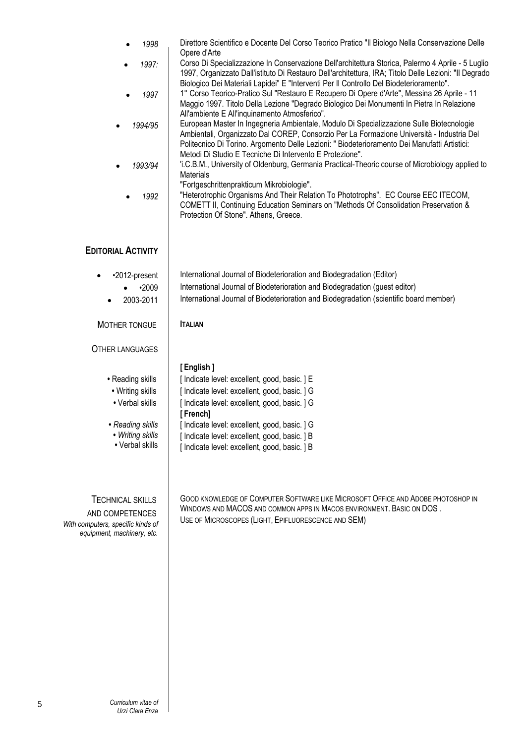| 1998<br>1997:<br>1997<br>1994/95<br>1993/94<br>1992                                                                | Direttore Scientifico e Docente Del Corso Teorico Pratico "Il Biologo Nella Conservazione Delle<br>Opere d'Arte<br>Corso Di Specializzazione In Conservazione Dell'architettura Storica, Palermo 4 Aprile - 5 Luglio<br>1997, Organizzato Dall'istituto Di Restauro Dell'architettura, IRA; Titolo Delle Lezioni: "Il Degrado<br>Biologico Dei Materiali Lapidei" E "Interventi Per Il Controllo Del Biodeterioramento".<br>1° Corso Teorico-Pratico Sul "Restauro E Recupero Di Opere d'Arte", Messina 26 Aprile - 11<br>Maggio 1997. Titolo Della Lezione "Degrado Biologico Dei Monumenti In Pietra In Relazione<br>All'ambiente E All'inquinamento Atmosferico".<br>European Master In Ingegneria Ambientale, Modulo Di Specializzazione Sulle Biotecnologie<br>Ambientali, Organizzato Dal COREP, Consorzio Per La Formazione Università - Industria Del<br>Politecnico Di Torino. Argomento Delle Lezioni: "Biodeterioramento Dei Manufatti Artistici:<br>Metodi Di Studio E Tecniche Di Intervento E Protezione".<br>'i.C.B.M., University of Oldenburg, Germania Practical-Theoric course of Microbiology applied to<br><b>Materials</b><br>"Fortgeschrittenprakticum Mikrobiologie".<br>"Heterotrophic Organisms And Their Relation To Phototrophs". EC Course EEC ITECOM,<br>COMETT II, Continuing Education Seminars on "Methods Of Consolidation Preservation &<br>Protection Of Stone". Athens, Greece. |
|--------------------------------------------------------------------------------------------------------------------|----------------------------------------------------------------------------------------------------------------------------------------------------------------------------------------------------------------------------------------------------------------------------------------------------------------------------------------------------------------------------------------------------------------------------------------------------------------------------------------------------------------------------------------------------------------------------------------------------------------------------------------------------------------------------------------------------------------------------------------------------------------------------------------------------------------------------------------------------------------------------------------------------------------------------------------------------------------------------------------------------------------------------------------------------------------------------------------------------------------------------------------------------------------------------------------------------------------------------------------------------------------------------------------------------------------------------------------------------------------------------------------------------------------------|
| <b>EDITORIAL ACTIVITY</b>                                                                                          |                                                                                                                                                                                                                                                                                                                                                                                                                                                                                                                                                                                                                                                                                                                                                                                                                                                                                                                                                                                                                                                                                                                                                                                                                                                                                                                                                                                                                      |
| •2012-present<br>•2009<br>2003-2011                                                                                | International Journal of Biodeterioration and Biodegradation (Editor)<br>International Journal of Biodeterioration and Biodegradation (guest editor)<br>International Journal of Biodeterioration and Biodegradation (scientific board member)                                                                                                                                                                                                                                                                                                                                                                                                                                                                                                                                                                                                                                                                                                                                                                                                                                                                                                                                                                                                                                                                                                                                                                       |
| MOTHER TONGUE                                                                                                      | <b>ITALIAN</b>                                                                                                                                                                                                                                                                                                                                                                                                                                                                                                                                                                                                                                                                                                                                                                                                                                                                                                                                                                                                                                                                                                                                                                                                                                                                                                                                                                                                       |
| <b>OTHER LANGUAGES</b>                                                                                             |                                                                                                                                                                                                                                                                                                                                                                                                                                                                                                                                                                                                                                                                                                                                                                                                                                                                                                                                                                                                                                                                                                                                                                                                                                                                                                                                                                                                                      |
| • Reading skills<br>• Writing skills<br>• Verbal skills<br>• Reading skills<br>• Writing skills<br>• Verbal skills | [English]<br>[ Indicate level: excellent, good, basic. ] E<br>[ Indicate level: excellent, good, basic. ] G<br>[ Indicate level: excellent, good, basic. ] G<br>[French]<br>[ Indicate level: excellent, good, basic. ] G<br>[ Indicate level: excellent, good, basic. ] B<br>[ Indicate level: excellent, good, basic. ] B                                                                                                                                                                                                                                                                                                                                                                                                                                                                                                                                                                                                                                                                                                                                                                                                                                                                                                                                                                                                                                                                                          |
| <b>TECHNICAL SKILLS</b><br>AND COMPETENCES<br>With computers, specific kinds of<br>equipment, machinery, etc.      | GOOD KNOWLEDGE OF COMPUTER SOFTWARE LIKE MICROSOFT OFFICE AND ADOBE PHOTOSHOP IN<br>WINDOWS AND MACOS AND COMMON APPS IN MACOS ENVIRONMENT. BASIC ON DOS.<br>USE OF MICROSCOPES (LIGHT, EPIFLUORESCENCE AND SEM)                                                                                                                                                                                                                                                                                                                                                                                                                                                                                                                                                                                                                                                                                                                                                                                                                                                                                                                                                                                                                                                                                                                                                                                                     |

 $\overline{\phantom{a}}$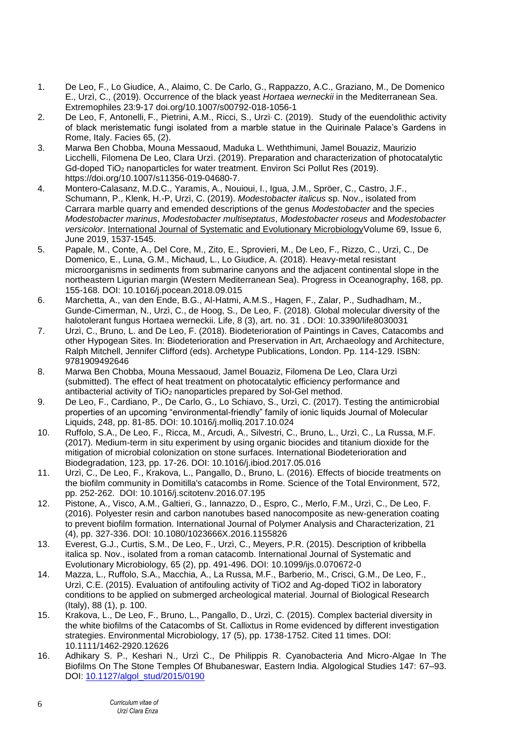- 1. De Leo, F., Lo Giudice, A., Alaimo, C. De Carlo, G., Rappazzo, A.C., Graziano, M., De Domenico E., Urzì, C., (2019). Occurrence of the black yeast *Hortaea werneckii* in the Mediterranean Sea. Extremophiles 23:9-17 doi.org/10.1007/s00792-018-1056-1
- 2. De Leo, F, Antonelli, F., Pietrini, A.M., Ricci, S., Urzì<sup>,</sup> C. (2019). Study of the euendolithic activity of black meristematic fungi isolated from a marble statue in the Quirinale Palace's Gardens in Rome, Italy. Facies 65, (2).
- 3. Marwa Ben Chobba, Mouna Messaoud, Maduka L. Weththimuni, Jamel Bouaziz, Maurizio Licchelli, Filomena De Leo, Clara Urzì. (2019). Preparation and characterization of photocatalytic Gd-doped TiO<sup>2</sup> nanoparticles for water treatment. Environ Sci Pollut Res (2019). https://doi.org/10.1007/s11356-019-04680-7.
- 4. Montero-Calasanz, M.D.C., Yaramis, A., Nouioui, I., Igua, J.M., Spröer, C., Castro, J.F., Schumann, P., Klenk, H.-P, Urzì, C. (2019). *Modestobacter italicus* sp. Nov., isolated from Carrara marble quarry and emended descriptions of the genus *Modestobacter* and the species *Modestobacter marinus*, *Modestobacter multiseptatus*, *Modestobacter roseus* and *Modestobacter versicolor*. International Journal of Systematic and Evolutionary MicrobiologyVolume 69, Issue 6, June 2019, 1537-1545.
- 5. Papale, M., Conte, A., Del Core, M., Zito, E., Sprovieri, M., De Leo, F., Rizzo, C., Urzì, C., De Domenico, E., Luna, G.M., Michaud, L., Lo Giudice, A. (2018). Heavy-metal resistant microorganisms in sediments from submarine canyons and the adjacent continental slope in the northeastern Ligurian margin (Western Mediterranean Sea). Progress in Oceanography, 168, pp. 155-168. DOI: 10.1016/j.pocean.2018.09.015
- 6. Marchetta, A., van den Ende, B.G., Al-Hatmi, A.M.S., Hagen, F., Zalar, P., Sudhadham, M., Gunde-Cimerman, N., Urzì, C., de Hoog, S., De Leo, F. (2018). Global molecular diversity of the halotolerant fungus Hortaea werneckii. Life, 8 (3), art. no. 31 . DOI: 10.3390/life8030031
- 7. Urzì, C., Bruno, L. and De Leo, F. (2018). Biodeterioration of Paintings in Caves, Catacombs and other Hypogean Sites. In: Biodeterioration and Preservation in Art, Archaeology and Architecture, Ralph Mitchell, Jennifer Clifford (eds). Archetype Publications, London. Pp. 114-129. ISBN: 9781909492646
- 8. Marwa Ben Chobba, Mouna Messaoud, Jamel Bouaziz, Filomena De Leo, Clara Urzì (submitted). The effect of heat treatment on photocatalytic efficiency performance and antibacterial activity of TiO<sub>2</sub> nanoparticles prepared by Sol-Gel method.
- 9. De Leo, F., Cardiano, P., De Carlo, G., Lo Schiavo, S., Urzì, C. (2017). Testing the antimicrobial properties of an upcoming "environmental-friendly" family of ionic liquids Journal of Molecular Liquids, 248, pp. 81-85. DOI: 10.1016/j.molliq.2017.10.024
- 10. Ruffolo, S.A., De Leo, F., Ricca, M., Arcudi, A., Silvestri, C., Bruno, L., Urzì, C., La Russa, M.F. (2017). Medium-term in situ experiment by using organic biocides and titanium dioxide for the mitigation of microbial colonization on stone surfaces. International Biodeterioration and Biodegradation, 123, pp. 17-26. DOI: 10.1016/j.ibiod.2017.05.016
- 11. Urzì, C., De Leo, F., Krakova, L., Pangallo, D., Bruno, L. (2016). Effects of biocide treatments on the biofilm community in Domitilla's catacombs in Rome. Science of the Total Environment, 572, pp. 252-262. DOI: 10.1016/j.scitotenv.2016.07.195
- 12. Pistone, A., Visco, A.M., Galtieri, G., Iannazzo, D., Espro, C., Merlo, F.M., Urzì, C., De Leo, F. (2016). Polyester resin and carbon nanotubes based nanocomposite as new-generation coating to prevent biofilm formation. International Journal of Polymer Analysis and Characterization, 21 (4), pp. 327-336. DOI: 10.1080/1023666X.2016.1155826
- 13. Everest, G.J., Curtis, S.M., De Leo, F., Urzì, C., Meyers, P.R. (2015). Description of kribbella italica sp. Nov., isolated from a roman catacomb. International Journal of Systematic and Evolutionary Microbiology, 65 (2), pp. 491-496. DOI: 10.1099/ijs.0.070672-0
- 14. Mazza, L., Ruffolo, S.A., Macchia, A., La Russa, M.F., Barberio, M., Crisci, G.M., De Leo, F., Urzì, C.E. (2015). Evaluation of antifouling activity of TiO2 and Ag-doped TiO2 in laboratory conditions to be applied on submerged archeological material. Journal of Biological Research (Italy), 88 (1), p. 100.
- 15. Krakova, L., De Leo, F., Bruno, L., Pangallo, D., Urzì, C. (2015). Complex bacterial diversity in the white biofilms of the Catacombs of St. Callixtus in Rome evidenced by different investigation strategies. Environmental Microbiology, 17 (5), pp. 1738-1752. Cited 11 times. DOI: 10.1111/1462-2920.12626
- 16. Adhikary S. P., Keshari N., Urzì C., De Philippis R. Cyanobacteria And Micro-Algae In The Biofilms On The Stone Temples Of Bhubaneswar, Eastern India. Algological Studies 147: 67–93. DOI: [10.1127/algol\\_stud/2015/0190](https://dx.doi.org/10.1127/algol_stud/2015/0190)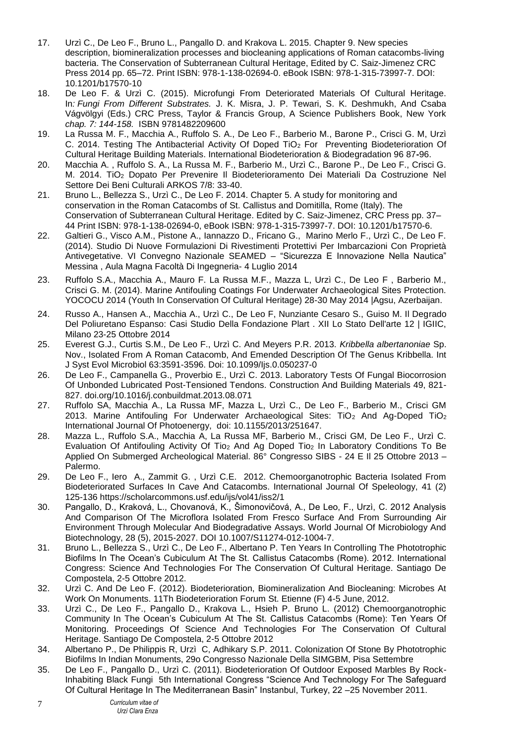- 17. Urzì C., De Leo F., Bruno L., Pangallo D. and Krakova L. 2015. Chapter 9. New species description, biomineralization processes and biocleaning applications of Roman catacombs-living bacteria. The Conservation of Subterranean Cultural Heritage, Edited by C. Saiz-Jimenez CRC Press 2014 pp. 65–72. Print ISBN: 978-1-138-02694-0. eBook ISBN: 978-1-315-73997-7. DOI: 10.1201/b17570-10
- 18. De Leo F. & Urzì C. (2015). Microfungi From Deteriorated Materials Of Cultural Heritage. In*: Fungi From Different Substrates.* J. K. Misra, J. P. Tewari, S. K. Deshmukh, And Csaba Vágvölgyi (Eds.) CRC Press, Taylor & Francis Group, A Science Publishers Book, New York *chap. 7: 144-158.* ISBN 9781482209600
- 19. La Russa M. F., Macchia A., Ruffolo S. A., De Leo F., Barberio M., Barone P., Crisci G. M, Urzì C. 2014. Testing The Antibacterial Activity Of Doped TiO<sub>2</sub> For Preventing Biodeterioration Of Cultural Heritage Building Materials. International Biodeterioration & Biodegradation 96 87**-**96.
- 20. Macchia A. , Ruffolo S. A., La Russa M. F., Barberio M., Urzì C., Barone P., De Leo F., Crisci G. M. 2014. TiO<sup>2</sup> Dopato Per Prevenire Il Biodeterioramento Dei Materiali Da Costruzione Nel Settore Dei Beni Culturali ARKOS 7/8: 33-40.
- 21. Bruno L., Bellezza S., Urzì C., De Leo F. 2014. Chapter 5. A study for monitoring and conservation in the Roman Catacombs of St. Callistus and Domitilla, Rome (Italy). The Conservation of Subterranean Cultural Heritage. Edited by C. Saiz-Jimenez, CRC Press pp. 37– 44 Print ISBN: 978-1-138-02694-0, eBook ISBN: 978-1-315-73997-7. DOI: 10.1201/b17570-6.
- 22. Galtieri G., Visco A.M., Pistone A., Iannazzo D., Fricano G., Marino Merlo F., Urzì C., De Leo F. (2014). Studio Di Nuove Formulazioni Di Rivestimenti Protettivi Per Imbarcazioni Con Proprietà Antivegetative. VI Convegno Nazionale SEAMED – "Sicurezza E Innovazione Nella Nautica" Messina , Aula Magna Facoltà Di Ingegneria- 4 Luglio 2014
- 23. Ruffolo S.A., Macchia A., Mauro F. La Russa M.F., Mazza L, Urzì C., De Leo F , Barberio M., Crisci G. M. (2014). Marine Antifouling Coatings For Underwater Archaeological Sites Protection. YOCOCU 2014 (Youth In Conservation Of Cultural Heritage) 28-30 May 2014 |Agsu, Azerbaijan.
- 24. Russo A., Hansen A., Macchia A., Urzì C., De Leo F, Nunziante Cesaro S., Guiso M. Il Degrado Del Poliuretano Espanso: Casi Studio Della Fondazione Plart . XII Lo Stato Dell'arte 12 | IGIIC, Milano 23-25 Ottobre 2014
- 25. Everest G.J., Curtis S.M., De Leo F., Urzì C. And Meyers P.R. 2013. *Kribbella albertanoniae* Sp. Nov., Isolated From A Roman Catacomb, And Emended Description Of The Genus Kribbella. Int J Syst Evol Microbiol 63:3591-3596. Doi: 10.1099/Ijs.0.050237-0
- 26. De Leo F., Campanella G., Proverbio E., Urzì C. 2013. Laboratory Tests Of Fungal Biocorrosion Of Unbonded Lubricated Post-Tensioned Tendons. Construction And Building Materials 49, 821- 827. doi.org/10.1016/j.conbuildmat.2013.08.071
- 27. Ruffolo SA, Macchia A., La Russa MF, Mazza L, Urzì C., De Leo F., Barberio M., Crisci GM 2013. Marine Antifouling For Underwater Archaeological Sites:  $TiO<sub>2</sub>$  And Ag-Doped  $TiO<sub>2</sub>$ International Journal Of Photoenergy, doi: 10.1155/2013/251647.
- 28. Mazza L., Ruffolo S.A., Macchia A, La Russa MF, Barberio M., Crisci GM, De Leo F., Urzì C. Evaluation Of Antifouling Activity Of Tio<sup>2</sup> And Ag Doped Tio<sup>2</sup> In Laboratory Conditions To Be Applied On Submerged Archeological Material. 86° Congresso SIBS - 24 E II 25 Ottobre 2013 -Palermo.
- 29. De Leo F., Iero A., Zammit G. , Urzì C.E. 2012. Chemoorganotrophic Bacteria Isolated From Biodeteriorated Surfaces In Cave And Catacombs. International Journal Of Speleology, 41 (2) 125-136 https://scholarcommons.usf.edu/ijs/vol41/iss2/1
- 30. Pangallo, D., Kraková, L., Chovanová, K., Šimonovičová, A., De Leo, F., Urzì, C. 2012 Analysis And Comparison Of The Microflora Isolated From Fresco Surface And From Surrounding Air Environment Through Molecular And Biodegradative Assays. World Journal Of Microbiology And Biotechnology, 28 (5), 2015-2027. DOI 10.1007/S11274-012-1004-7.
- 31. Bruno L., Bellezza S., Urzì C., De Leo F., Albertano P. Ten Years In Controlling The Phototrophic Biofilms In The Ocean's Cubiculum At The St. Callistus Catacombs (Rome). 2012. International Congress: Science And Technologies For The Conservation Of Cultural Heritage. Santiago De Compostela, 2-5 Ottobre 2012.
- 32. Urzì C. And De Leo F. (2012). Biodeterioration, Biomineralization And Biocleaning: Microbes At Work On Monuments. 11Th Biodeterioration Forum St. Etienne (F) 4-5 June, 2012.
- 33. Urzì C., De Leo F., Pangallo D., Krakova L., Hsieh P. Bruno L. (2012) Chemoorganotrophic Community In The Ocean's Cubiculum At The St. Callistus Catacombs (Rome): Ten Years Of Monitoring. Proceedings Of Science And Technologies For The Conservation Of Cultural Heritage. Santiago De Compostela, 2-5 Ottobre 2012
- 34. Albertano P., De Philippis R, Urzì C, Adhikary S.P. 2011. Colonization Of Stone By Phototrophic Biofilms In Indian Monuments, 29o Congresso Nazionale Della SIMGBM, Pisa Settembre
- 35. De Leo F., Pangallo D., Urzì C. (2011). Biodeterioration Of Outdoor Exposed Marbles By Rock-Inhabiting Black Fungi 5th International Congress "Science And Technology For The Safeguard Of Cultural Heritage In The Mediterranean Basin" Instanbul, Turkey, 22 –25 November 2011.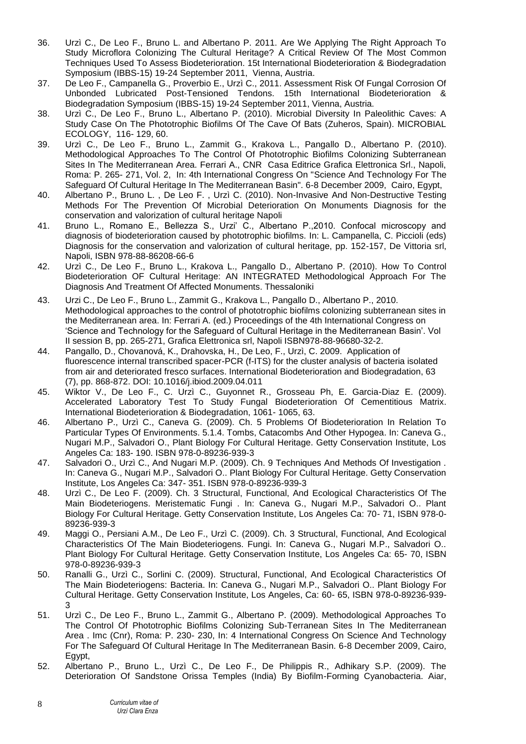- 36. Urzì C., De Leo F., Bruno L. and Albertano P. 2011. Are We Applying The Right Approach To Study Microflora Colonizing The Cultural Heritage? A Critical Review Of The Most Common Techniques Used To Assess Biodeterioration. 15t International Biodeterioration & Biodegradation Symposium (IBBS-15) 19-24 September 2011, Vienna, Austria.
- 37. De Leo F., Campanella G., Proverbio E., Urzì C., 2011. Assessment Risk Of Fungal Corrosion Of Unbonded Lubricated Post-Tensioned Tendons. 15th International Biodeterioration & Biodegradation Symposium (IBBS-15) 19-24 September 2011, Vienna, Austria.
- 38. Urzì C., De Leo F., Bruno L., Albertano P. (2010). Microbial Diversity In Paleolithic Caves: A Study Case On The Phototrophic Biofilms Of The Cave Of Bats (Zuheros, Spain). MICROBIAL ECOLOGY, 116- 129, 60.
- 39. Urzì C., De Leo F., Bruno L., Zammit G., Krakova L., Pangallo D., Albertano P. (2010). Methodological Approaches To The Control Of Phototrophic Biofilms Colonizing Subterranean Sites In The Mediterranean Area. Ferrari A., CNR Casa Editrice Grafica Elettronica Srl., Napoli, Roma: P. 265- 271, Vol. 2, In: 4th International Congress On "Science And Technology For The Safeguard Of Cultural Heritage In The Mediterranean Basin". 6-8 December 2009, Cairo, Egypt,
- 40. Albertano P., Bruno L. , De Leo F. , Urzì C. (2010). Non-Invasive And Non-Destructive Testing Methods For The Prevention Of Microbial Deterioration On Monuments Diagnosis for the conservation and valorization of cultural heritage Napoli
- 41. Bruno L., Romano E., Bellezza S., Urzi' C., Albertano P.,2010. Confocal microscopy and diagnosis of biodeterioration caused by phototrophic biofilms. In: L. Campanella, C. Piccioli (eds) Diagnosis for the conservation and valorization of cultural heritage, pp. 152-157, De Vittoria srl, Napoli, ISBN 978-88-86208-66-6
- 42. Urzì C., De Leo F., Bruno L., Krakova L., Pangallo D., Albertano P. (2010). How To Control Biodeterioration OF Cultural Heritage: AN INTEGRATED Methodological Approach For The Diagnosis And Treatment Of Affected Monuments. Thessaloniki
- 43. Urzi C., De Leo F., Bruno L., Zammit G., Krakova L., Pangallo D., Albertano P., 2010. Methodological approaches to the control of phototrophic biofilms colonizing subterranean sites in the Mediterranean area. In: Ferrari A. (ed.) Proceedings of the 4th International Congress on 'Science and Technology for the Safeguard of Cultural Heritage in the Mediterranean Basin'. Vol II session B, pp. 265-271, Grafica Elettronica srl, Napoli ISBN978-88-96680-32-2.
- 44. Pangallo, D., Chovanová, K., Drahovska, H., De Leo, F., Urzì, C. 2009. Application of fluorescence internal transcribed spacer-PCR (f-ITS) for the cluster analysis of bacteria isolated from air and deteriorated fresco surfaces. International Biodeterioration and Biodegradation, 63 (7), pp. 868-872. DOI: 10.1016/j.ibiod.2009.04.011
- 45. Wiktor V., De Leo F., C. Urzì C., Guyonnet R., Grosseau Ph, E. Garcia-Diaz E. (2009). Accelerated Laboratory Test To Study Fungal Biodeterioration Of Cementitious Matrix. International Biodeterioration & Biodegradation, 1061- 1065, 63.
- 46. Albertano P., Urzì C., Caneva G. (2009). Ch. 5 Problems Of Biodeterioration In Relation To Particular Types Of Environments. 5.1.4. Tombs, Catacombs And Other Hypogea. In: Caneva G., Nugari M.P., Salvadori O., Plant Biology For Cultural Heritage. Getty Conservation Institute, Los Angeles Ca: 183- 190. ISBN 978-0-89236-939-3
- 47. Salvadori O., Urzì C., And Nugari M.P. (2009). Ch. 9 Techniques And Methods Of Investigation . In: Caneva G., Nugari M.P., Salvadori O.. Plant Biology For Cultural Heritage. Getty Conservation Institute, Los Angeles Ca: 347- 351. ISBN 978-0-89236-939-3
- 48. Urzì C., De Leo F. (2009). Ch. 3 Structural, Functional, And Ecological Characteristics Of The Main Biodeteriogens. Meristematic Fungi . In: Caneva G., Nugari M.P., Salvadori O.. Plant Biology For Cultural Heritage. Getty Conservation Institute, Los Angeles Ca: 70- 71, ISBN 978-0- 89236-939-3
- 49. Maggi O., Persiani A.M., De Leo F., Urzì C. (2009). Ch. 3 Structural, Functional, And Ecological Characteristics Of The Main Biodeteriogens. Fungi. In: Caneva G., Nugari M.P., Salvadori O.. Plant Biology For Cultural Heritage. Getty Conservation Institute, Los Angeles Ca: 65- 70, ISBN 978-0-89236-939-3
- 50. Ranalli G., Urzì C., Sorlini C. (2009). Structural, Functional, And Ecological Characteristics Of The Main Biodeteriogens: Bacteria. In: Caneva G., Nugari M.P., Salvadori O.. Plant Biology For Cultural Heritage. Getty Conservation Institute, Los Angeles, Ca: 60- 65, ISBN 978-0-89236-939- 3
- 51. Urzì C., De Leo F., Bruno L., Zammit G., Albertano P. (2009). Methodological Approaches To The Control Of Phototrophic Biofilms Colonizing Sub-Terranean Sites In The Mediterranean Area . Imc (Cnr), Roma: P. 230- 230, In: 4 International Congress On Science And Technology For The Safeguard Of Cultural Heritage In The Mediterranean Basin. 6-8 December 2009, Cairo, Egypt,
- 52. Albertano P., Bruno L., Urzì C., De Leo F., De Philippis R., Adhikary S.P. (2009). The Deterioration Of Sandstone Orissa Temples (India) By Biofilm-Forming Cyanobacteria. Aiar,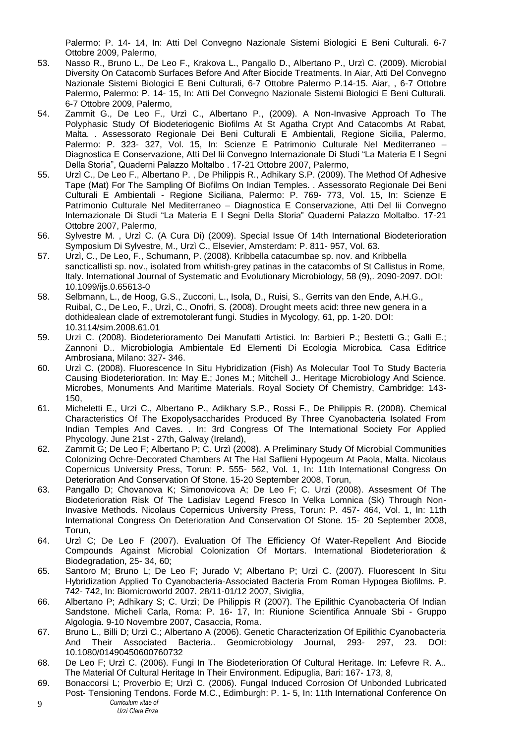Palermo: P. 14- 14, In: Atti Del Convegno Nazionale Sistemi Biologici E Beni Culturali. 6-7 Ottobre 2009, Palermo,

- 53. Nasso R., Bruno L., De Leo F., Krakova L., Pangallo D., Albertano P., Urzì C. (2009). Microbial Diversity On Catacomb Surfaces Before And After Biocide Treatments. In Aiar, Atti Del Convegno Nazionale Sistemi Biologici E Beni Culturali, 6-7 Ottobre Palermo P.14-15. Aiar, , 6-7 Ottobre Palermo, Palermo: P. 14- 15, In: Atti Del Convegno Nazionale Sistemi Biologici E Beni Culturali. 6-7 Ottobre 2009, Palermo,
- 54. Zammit G., De Leo F., Urzì C., Albertano P., (2009). A Non-Invasive Approach To The Polyphasic Study Of Biodeteriogenic Biofilms At St Agatha Crypt And Catacombs At Rabat, Malta. . Assessorato Regionale Dei Beni Culturali E Ambientali, Regione Sicilia, Palermo, Palermo: P. 323- 327, Vol. 15, In: Scienze E Patrimonio Culturale Nel Mediterraneo – Diagnostica E Conservazione, Atti Del Iii Convegno Internazionale Di Studi "La Materia E I Segni Della Storia", Quaderni Palazzo Moltalbo . 17-21 Ottobre 2007, Palermo,
- 55. Urzì C., De Leo F., Albertano P. , De Philippis R., Adhikary S.P. (2009). The Method Of Adhesive Tape (Mat) For The Sampling Of Biofilms On Indian Temples. . Assessorato Regionale Dei Beni Culturali E Ambientali - Regione Siciliana, Palermo: P. 769- 773, Vol. 15, In: Scienze E Patrimonio Culturale Nel Mediterraneo – Diagnostica E Conservazione, Atti Del Iii Convegno Internazionale Di Studi "La Materia E I Segni Della Storia" Quaderni Palazzo Moltalbo. 17-21 Ottobre 2007, Palermo,
- 56. Sylvestre M. , Urzì C. (A Cura Di) (2009). Special Issue Of 14th International Biodeterioration Symposium Di Sylvestre, M., Urzì C., Elsevier, Amsterdam: P. 811- 957, Vol. 63.
- 57. Urzì, C., De Leo, F., Schumann, P. (2008). Kribbella catacumbae sp. nov. and Kribbella sancticallisti sp. nov., isolated from whitish-grey patinas in the catacombs of St Callistus in Rome, Italy. International Journal of Systematic and Evolutionary Microbiology, 58 (9),. 2090-2097. DOI: 10.1099/ijs.0.65613-0
- 58. Selbmann, L., de Hoog, G.S., Zucconi, L., Isola, D., Ruisi, S., Gerrits van den Ende, A.H.G., Ruibal, C., De Leo, F., Urzì, C., Onofri, S. (2008). Drought meets acid: three new genera in a dothidealean clade of extremotolerant fungi. Studies in Mycology, 61, pp. 1-20. DOI: 10.3114/sim.2008.61.01
- 59. Urzì C. (2008). Biodeterioramento Dei Manufatti Artistici. In: Barbieri P.; Bestetti G.; Galli E.; Zannoni D.. Microbiologia Ambientale Ed Elementi Di Ecologia Microbica. Casa Editrice Ambrosiana, Milano: 327- 346.
- 60. Urzì C. (2008). Fluorescence In Situ Hybridization (Fish) As Molecular Tool To Study Bacteria Causing Biodeterioration. In: May E.; Jones M.; Mitchell J.. Heritage Microbiology And Science. Microbes, Monuments And Maritime Materials. Royal Society Of Chemistry, Cambridge: 143- 150,
- 61. Micheletti E., Urzì C., Albertano P., Adikhary S.P., Rossi F., De Philippis R. (2008). Chemical Characteristics Of The Exopolysaccharides Produced By Three Cyanobacteria Isolated From Indian Temples And Caves. . In: 3rd Congress Of The International Society For Applied Phycology. June 21st - 27th, Galway (Ireland),
- 62. Zammit G; De Leo F; Albertano P; C. Urzì (2008). A Preliminary Study Of Microbial Communities Colonizing Ochre-Decorated Chambers At The Hal Saflieni Hypogeum At Paola, Malta. Nicolaus Copernicus University Press, Torun: P. 555- 562, Vol. 1, In: 11th International Congress On Deterioration And Conservation Of Stone. 15-20 September 2008, Torun,
- 63. Pangallo D; Chovanova K; Simonovicova A; De Leo F; C. Urzì (2008). Assesment Of The Biodeterioration Risk Of The Ladislav Legend Fresco In Velka Lomnica (Sk) Through Non-Invasive Methods. Nicolaus Copernicus University Press, Torun: P. 457- 464, Vol. 1, In: 11th International Congress On Deterioration And Conservation Of Stone. 15- 20 September 2008, Torun,
- 64. Urzì C; De Leo F (2007). Evaluation Of The Efficiency Of Water-Repellent And Biocide Compounds Against Microbial Colonization Of Mortars. International Biodeterioration & Biodegradation, 25- 34, 60;
- 65. Santoro M; Bruno L; De Leo F; Jurado V; Albertano P; Urzì C. (2007). Fluorescent In Situ Hybridization Applied To Cyanobacteria-Associated Bacteria From Roman Hypogea Biofilms. P. 742- 742, In: Biomicroworld 2007. 28/11-01/12 2007, Siviglia,
- 66. Albertano P; Adhikary S; C. Urzì; De Philippis R (2007). The Epilithic Cyanobacteria Of Indian Sandstone. Micheli Carla, Roma: P. 16- 17, In: Riunione Scientifica Annuale Sbi - Gruppo Algologia. 9-10 Novembre 2007, Casaccia, Roma.
- 67. Bruno L., Billi D; Urzì C.; Albertano A (2006). Genetic Characterization Of Epilithic Cyanobacteria And Their Associated Bacteria.. Geomicrobiology Journal, 293- 297, 23. DOI: 10.1080/01490450600760732
- 68. De Leo F; Urzì C. (2006). Fungi In The Biodeterioration Of Cultural Heritage. In: Lefevre R. A.. The Material Of Cultural Heritage In Their Environment. Edipuglia, Bari: 167- 173, 8,
- *Curriculum vitae of* 9 69. Bonaccorsi L; Proverbio E; Urzì C. (2006). Fungal Induced Corrosion Of Unbonded Lubricated Post- Tensioning Tendons. Forde M.C., Edimburgh: P. 1- 5, In: 11th International Conference On
	- *Urzì Clara Enza*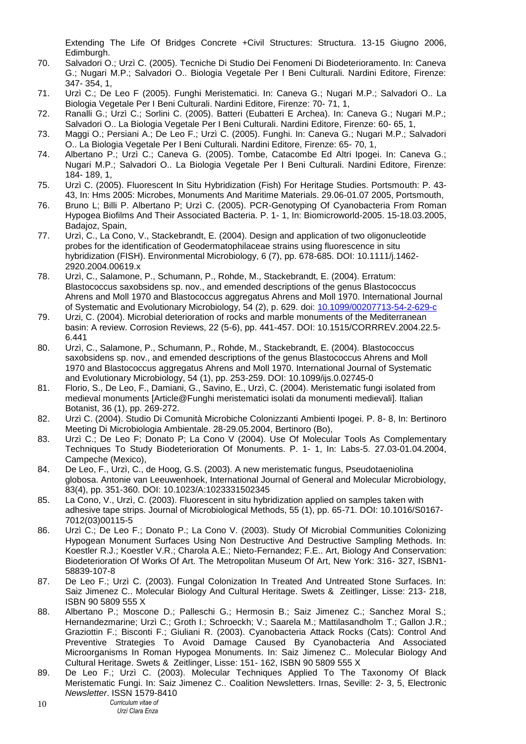Extending The Life Of Bridges Concrete +Civil Structures: Structura. 13-15 Giugno 2006, Edimburgh.

- 70. Salvadori O.; Urzì C. (2005). Tecniche Di Studio Dei Fenomeni Di Biodeterioramento. In: Caneva G.; Nugari M.P.; Salvadori O.. Biologia Vegetale Per I Beni Culturali. Nardini Editore, Firenze: 347- 354, 1,
- 71. Urzì C.; De Leo F (2005). Funghi Meristematici. In: Caneva G.; Nugari M.P.; Salvadori O.. La Biologia Vegetale Per I Beni Culturali. Nardini Editore, Firenze: 70- 71, 1,
- 72. Ranalli G.; Urzì C.; Sorlini C. (2005). Batteri (Eubatteri E Archea). In: Caneva G.; Nugari M.P.; Salvadori O.. La Biologia Vegetale Per I Beni Culturali. Nardini Editore, Firenze: 60- 65, 1,
- 73. Maggi O.; Persiani A.; De Leo F.; Urzì C. (2005). Funghi. In: Caneva G.; Nugari M.P.; Salvadori O.. La Biologia Vegetale Per I Beni Culturali. Nardini Editore, Firenze: 65- 70, 1,
- 74. Albertano P.; Urzì C.; Caneva G. (2005). Tombe, Catacombe Ed Altri Ipogei. In: Caneva G.; Nugari M.P.; Salvadori O.. La Biologia Vegetale Per I Beni Culturali. Nardini Editore, Firenze: 184- 189, 1,
- 75. Urzì C. (2005). Fluorescent In Situ Hybridization (Fish) For Heritage Studies. Portsmouth: P. 43- 43, In: Hms 2005: Microbes, Monuments And Maritime Materials. 29.06-01.07 2005, Portsmouth,
- 76. Bruno L; Billi P. Albertano P; Urzì C. (2005). PCR-Genotyping Of Cyanobacteria From Roman Hypogea Biofilms And Their Associated Bacteria. P. 1- 1, In: Biomicroworld-2005. 15-18.03.2005, Badajoz, Spain,
- 77. Urzì, C., La Cono, V., Stackebrandt, E. (2004). Design and application of two oligonucleotide probes for the identification of Geodermatophilaceae strains using fluorescence in situ hybridization (FISH). Environmental Microbiology, 6 (7), pp. 678-685. DOI: 10.1111/j.1462- 2920.2004.00619.x
- 78. Urzì, C., Salamone, P., Schumann, P., Rohde, M., Stackebrandt, E. (2004). Erratum: Blastococcus saxobsidens sp. nov., and emended descriptions of the genus Blastococcus Ahrens and Moll 1970 and Blastococcus aggregatus Ahrens and Moll 1970. International Journal of Systematic and Evolutionary Microbiology, 54 (2), p. 629. doi: [10.1099/00207713-54-2-629-c](https://dx.doi.org/10.1099/00207713-54-2-629-c)
- 79. Urzi, C. (2004). Microbial deterioration of rocks and marble monuments of the Mediterranean basin: A review. Corrosion Reviews, 22 (5-6), pp. 441-457. DOI: 10.1515/CORRREV.2004.22.5- 6.441
- 80. Urzì, C., Salamone, P., Schumann, P., Rohde, M., Stackebrandt, E. (2004). Blastococcus saxobsidens sp. nov., and emended descriptions of the genus Blastococcus Ahrens and Moll 1970 and Blastococcus aggregatus Ahrens and Moll 1970. International Journal of Systematic and Evolutionary Microbiology, 54 (1), pp. 253-259. DOI: 10.1099/ijs.0.02745-0
- 81. Florio, S., De Leo, F., Damiani, G., Savino, E., Urzì, C. (2004). Meristematic fungi isolated from medieval monuments [Article@Funghi meristematici isolati da monumenti medievali]. Italian Botanist, 36 (1), pp. 269-272.
- 82. Urzì C. (2004). Studio Di Comunità Microbiche Colonizzanti Ambienti Ipogei. P. 8- 8, In: Bertinoro Meeting Di Microbiologia Ambientale. 28-29.05.2004, Bertinoro (Bo),
- 83. Urzì C.; De Leo F; Donato P; La Cono V (2004). Use Of Molecular Tools As Complementary Techniques To Study Biodeterioration Of Monuments. P. 1- 1, In: Labs-5. 27.03-01.04.2004, Campeche (Mexico),
- 84. De Leo, F., Urzì, C., de Hoog, G.S. (2003). A new meristematic fungus, Pseudotaeniolina globosa. Antonie van Leeuwenhoek, International Journal of General and Molecular Microbiology, 83(4), pp. 351-360. DOI: 10.1023/A:1023331502345
- 85. La Cono, V., Urzì, C. (2003). Fluorescent in situ hybridization applied on samples taken with adhesive tape strips. Journal of Microbiological Methods, 55 (1), pp. 65-71. DOI: 10.1016/S0167- 7012(03)00115-5
- 86. Urzì C.; De Leo F.; Donato P.; La Cono V. (2003). Study Of Microbial Communities Colonizing Hypogean Monument Surfaces Using Non Destructive And Destructive Sampling Methods. In: Koestler R.J.; Koestler V.R.; Charola A.E.; Nieto-Fernandez; F.E.. Art, Biology And Conservation: Biodeterioration Of Works Of Art. The Metropolitan Museum Of Art, New York: 316- 327, ISBN1- 58839-107-8
- 87. De Leo F.; Urzì C. (2003). Fungal Colonization In Treated And Untreated Stone Surfaces. In: Saiz Jimenez C.. Molecular Biology And Cultural Heritage. Swets & Zeitlinger, Lisse: 213- 218, ISBN 90 5809 555 X
- 88. Albertano P.; Moscone D.; Palleschi G.; Hermosin B.; Saiz Jimenez C.; Sanchez Moral S.; Hernandezmarine; Urzì C.; Groth I.; Schroeckh; V.; Saarela M.; Mattilasandholm T.; Gallon J.R.; Graziottin F.; Bisconti F.; Giuliani R. (2003). Cyanobacteria Attack Rocks (Cats): Control And Preventive Strategies To Avoid Damage Caused By Cyanobacteria And Associated Microorganisms In Roman Hypogea Monuments. In: Saiz Jimenez C.. Molecular Biology And Cultural Heritage. Swets & Zeitlinger, Lisse: 151- 162, ISBN 90 5809 555 X
- 89. De Leo F.; Urzì C. (2003). Molecular Techniques Applied To The Taxonomy Of Black Meristematic Fungi. In: Saiz Jimenez C.. Coalition Newsletters. Irnas, Seville: 2- 3, 5, Electronic *Newsletter*. ISSN 1579-8410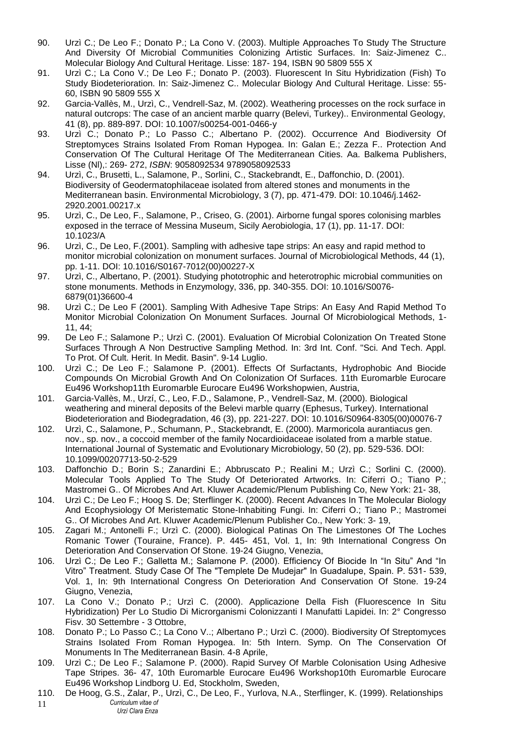- 90. Urzì C.; De Leo F.; Donato P.; La Cono V. (2003). Multiple Approaches To Study The Structure And Diversity Of Microbial Communities Colonizing Artistic Surfaces. In: Saiz-Jimenez C.. Molecular Biology And Cultural Heritage. Lisse: 187- 194, ISBN 90 5809 555 X
- 91. Urzì C.; La Cono V.; De Leo F.; Donato P. (2003). Fluorescent In Situ Hybridization (Fish) To Study Biodeterioration. In: Saiz-Jimenez C.. Molecular Biology And Cultural Heritage. Lisse: 55- 60, ISBN 90 5809 555 X
- 92. Garcia-Vallès, M., Urzì, C., Vendrell-Saz, M. (2002). Weathering processes on the rock surface in natural outcrops: The case of an ancient marble quarry (Belevi, Turkey).. Environmental Geology, 41 (8), pp. 889-897. DOI: 10.1007/s00254-001-0466-y
- 93. Urzì C.; Donato P.; Lo Passo C.; Albertano P. (2002). Occurrence And Biodiversity Of Streptomyces Strains Isolated From Roman Hypogea. In: Galan E.; Zezza F.. Protection And Conservation Of The Cultural Heritage Of The Mediterranean Cities. Aa. Balkema Publishers, Lisse (Nl),: 269- 272, *ISBN*: 9058092534 9789058092533
- 94. Urzì, C., Brusetti, L., Salamone, P., Sorlini, C., Stackebrandt, E., Daffonchio, D. (2001). Biodiversity of Geodermatophilaceae isolated from altered stones and monuments in the Mediterranean basin. Environmental Microbiology, 3 (7), pp. 471-479. DOI: 10.1046/j.1462- 2920.2001.00217.x
- 95. Urzì, C., De Leo, F., Salamone, P., Criseo, G. (2001). Airborne fungal spores colonising marbles exposed in the terrace of Messina Museum, Sicily Aerobiologia, 17 (1), pp. 11-17. DOI: 10.1023/A
- 96. Urzì, C., De Leo, F.(2001). Sampling with adhesive tape strips: An easy and rapid method to monitor microbial colonization on monument surfaces. Journal of Microbiological Methods, 44 (1), pp. 1-11. DOI: 10.1016/S0167-7012(00)00227-X
- 97. Urzì, C., Albertano, P. (2001). Studying phototrophic and heterotrophic microbial communities on stone monuments. Methods in Enzymology, 336, pp. 340-355. DOI: 10.1016/S0076- 6879(01)36600-4
- 98. Urzì C.; De Leo F (2001). Sampling With Adhesive Tape Strips: An Easy And Rapid Method To Monitor Microbial Colonization On Monument Surfaces. Journal Of Microbiological Methods, 1- 11, 44;
- 99. De Leo F.; Salamone P.; Urzì C. (2001). Evaluation Of Microbial Colonization On Treated Stone Surfaces Through A Non Destructive Sampling Method. In: 3rd Int. Conf. "Sci. And Tech. Appl. To Prot. Of Cult. Herit. In Medit. Basin". 9-14 Luglio.
- 100. Urzì C.; De Leo F.; Salamone P. (2001). Effects Of Surfactants, Hydrophobic And Biocide Compounds On Microbial Growth And On Colonization Of Surfaces. 11th Euromarble Eurocare Eu496 Workshop11th Euromarble Eurocare Eu496 Workshopwien, Austria,
- 101. Garcia-Vallès, M., Urzí, C., Leo, F.D., Salamone, P., Vendrell-Saz, M. (2000). Biological weathering and mineral deposits of the Belevi marble quarry (Ephesus, Turkey). International Biodeterioration and Biodegradation, 46 (3), pp. 221-227. DOI: 10.1016/S0964-8305(00)00076-7
- 102. Urzì, C., Salamone, P., Schumann, P., Stackebrandt, E. (2000). Marmoricola aurantiacus gen. nov., sp. nov., a coccoid member of the family Nocardioidaceae isolated from a marble statue. International Journal of Systematic and Evolutionary Microbiology, 50 (2), pp. 529-536. DOI: 10.1099/00207713-50-2-529
- 103. Daffonchio D.; Borin S.; Zanardini E.; Abbruscato P.; Realini M.; Urzì C.; Sorlini C. (2000). Molecular Tools Applied To The Study Of Deteriorated Artworks. In: Ciferri O.; Tiano P.; Mastromei G.. Of Microbes And Art. Kluwer Academic/Plenum Publishing Co, New York: 21- 38,
- 104. Urzì C.; De Leo F.; Hoog S. De; Sterflinger K. (2000). Recent Advances In The Molecular Biology And Ecophysiology Of Meristematic Stone-Inhabiting Fungi. In: Ciferri O.; Tiano P.; Mastromei G.. Of Microbes And Art. Kluwer Academic/Plenum Publisher Co., New York: 3- 19,
- 105. Zagari M.; Antonelli F.; Urzì C. (2000). Biological Patinas On The Limestones Of The Loches Romanic Tower (Touraine, France). P. 445- 451, Vol. 1, In: 9th International Congress On Deterioration And Conservation Of Stone. 19-24 Giugno, Venezia,
- 106. Urzì C.; De Leo F.; Galletta M.; Salamone P. (2000). Efficiency Of Biocide In "In Situ" And "In Vitro" Treatment. Study Case Of The "Templete De Mudejar" In Guadalupe, Spain. P. 531- 539, Vol. 1, In: 9th International Congress On Deterioration And Conservation Of Stone. 19-24 Giugno, Venezia,
- 107. La Cono V.; Donato P.; Urzì C. (2000). Applicazione Della Fish (Fluorescence In Situ Hybridization) Per Lo Studio Di Microrganismi Colonizzanti I Manufatti Lapidei. In: 2° Congresso Fisv. 30 Settembre - 3 Ottobre,
- 108. Donato P.; Lo Passo C.; La Cono V..; Albertano P.; Urzì C. (2000). Biodiversity Of Streptomyces Strains Isolated From Roman Hypogea. In: 5th Intern. Symp. On The Conservation Of Monuments In The Mediterranean Basin. 4-8 Aprile,
- 109. Urzì C.; De Leo F.; Salamone P. (2000). Rapid Survey Of Marble Colonisation Using Adhesive Tape Stripes. 36- 47, 10th Euromarble Eurocare Eu496 Workshop10th Euromarble Eurocare Eu496 Workshop Lindborg U. Ed, Stockholm, Sweden,
- *Curriculum vitae of Urzì Clara Enza*  11 110. De Hoog, G.S., Zalar, P., Urzì, C., De Leo, F., Yurlova, N.A., Sterflinger, K. (1999). Relationships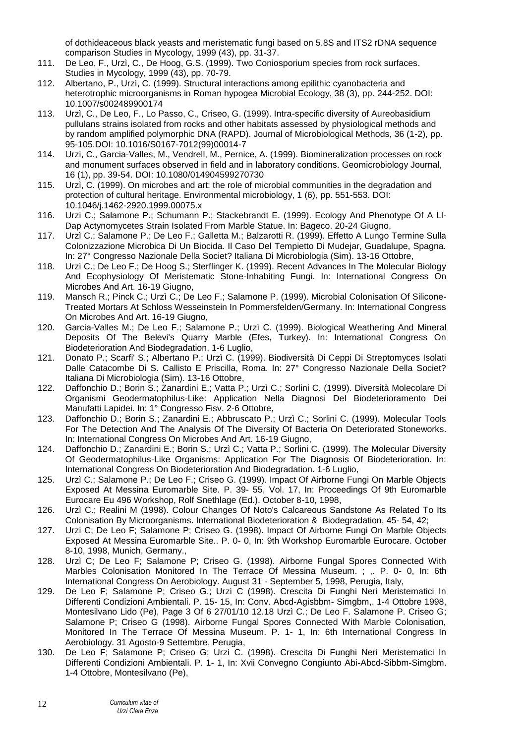of dothideaceous black yeasts and meristematic fungi based on 5.8S and ITS2 rDNA sequence comparison Studies in Mycology, 1999 (43), pp. 31-37.

- 111. De Leo, F., Urzì, C., De Hoog, G.S. (1999). Two Coniosporium species from rock surfaces. Studies in Mycology, 1999 (43), pp. 70-79.
- 112. Albertano, P., Urzì, C. (1999). Structural interactions among epilithic cyanobacteria and heterotrophic microorganisms in Roman hypogea Microbial Ecology, 38 (3), pp. 244-252. DOI: 10.1007/s002489900174
- 113. Urzì, C., De Leo, F., Lo Passo, C., Criseo, G. (1999). Intra-specific diversity of Aureobasidium pullulans strains isolated from rocks and other habitats assessed by physiological methods and by random amplified polymorphic DNA (RAPD). Journal of Microbiological Methods, 36 (1-2), pp. 95-105.DOI: 10.1016/S0167-7012(99)00014-7
- 114. Urzì, C., Garcia-Valles, M., Vendrell, M., Pernice, A. (1999). Biomineralization processes on rock and monument surfaces observed in field and in laboratory conditions. Geomicrobiology Journal, 16 (1), pp. 39-54. DOI: 10.1080/014904599270730
- 115. Urzì, C. (1999). On microbes and art: the role of microbial communities in the degradation and protection of cultural heritage. Environmental microbiology, 1 (6), pp. 551-553. DOI: 10.1046/j.1462-2920.1999.00075.x
- 116. Urzì C.; Salamone P.; Schumann P.; Stackebrandt E. (1999). Ecology And Phenotype Of A Ll-Dap Actynomycetes Strain Isolated From Marble Statue. In: Bageco. 20-24 Giugno,
- 117. Urzì C.; Salamone P.; De Leo F.; Galletta M.; Balzarotti R. (1999). Effetto A Lungo Termine Sulla Colonizzazione Microbica Di Un Biocida. Il Caso Del Tempietto Di Mudejar, Guadalupe, Spagna. In: 27° Congresso Nazionale Della Societ? Italiana Di Microbiologia (Sim). 13-16 Ottobre,
- 118. Urzì C.; De Leo F.; De Hoog S.; Sterflinger K. (1999). Recent Advances In The Molecular Biology And Ecophysiology Of Meristematic Stone-Inhabiting Fungi. In: International Congress On Microbes And Art. 16-19 Giugno,
- 119. Mansch R.; Pinck C.; Urzì C.; De Leo F.; Salamone P. (1999). Microbial Colonisation Of Silicone-Treated Mortars At Schloss Wesseinstein In Pommersfelden/Germany. In: International Congress On Microbes And Art. 16-19 Giugno,
- 120. Garcia-Valles M.; De Leo F.; Salamone P.; Urzì C. (1999). Biological Weathering And Mineral Deposits Of The Belevi's Quarry Marble (Efes, Turkey). In: International Congress On Biodeterioration And Biodegradation. 1-6 Luglio,
- 121. Donato P.; Scarfi' S.; Albertano P.; Urzì C. (1999). Biodiversità Di Ceppi Di Streptomyces Isolati Dalle Catacombe Di S. Callisto E Priscilla, Roma. In: 27° Congresso Nazionale Della Societ? Italiana Di Microbiologia (Sim). 13-16 Ottobre,
- 122. Daffonchio D.; Borin S.; Zanardini E.; Vatta P.; Urzì C.; Sorlini C. (1999). Diversità Molecolare Di Organismi Geodermatophilus-Like: Application Nella Diagnosi Del Biodeterioramento Dei Manufatti Lapidei. In: 1° Congresso Fisv. 2-6 Ottobre,
- 123. Daffonchio D.; Borin S.; Zanardini E.; Abbruscato P.; Urzì C.; Sorlini C. (1999). Molecular Tools For The Detection And The Analysis Of The Diversity Of Bacteria On Deteriorated Stoneworks. In: International Congress On Microbes And Art. 16-19 Giugno,
- 124. Daffonchio D.; Zanardini E.; Borin S.; Urzì C.; Vatta P.; Sorlini C. (1999). The Molecular Diversity Of Geodermatophilus-Like Organisms: Application For The Diagnosis Of Biodeterioration. In: International Congress On Biodeterioration And Biodegradation. 1-6 Luglio,
- 125. Urzì C.; Salamone P.; De Leo F.; Criseo G. (1999). Impact Of Airborne Fungi On Marble Objects Exposed At Messina Euromarble Site. P. 39- 55, Vol. 17, In: Proceedings Of 9th Euromarble Eurocare Eu 496 Workshop, Rolf Snethlage (Ed.). October 8-10, 1998,
- 126. Urzì C.; Realini M (1998). Colour Changes Of Noto's Calcareous Sandstone As Related To Its Colonisation By Microorganisms. International Biodeterioration & Biodegradation, 45- 54, 42;
- 127. Urzì C; De Leo F; Salamone P; Criseo G. (1998). Impact Of Airborne Fungi On Marble Objects Exposed At Messina Euromarble Site.. P. 0- 0, In: 9th Workshop Euromarble Eurocare. October 8-10, 1998, Munich, Germany.,
- 128. Urzì C; De Leo F; Salamone P; Criseo G. (1998). Airborne Fungal Spores Connected With Marbles Colonisation Monitored In The Terrace Of Messina Museum. ; ,. P. 0- 0, In: 6th International Congress On Aerobiology. August 31 - September 5, 1998, Perugia, Italy,
- 129. De Leo F; Salamone P; Criseo G.; Urzì C (1998). Crescita Di Funghi Neri Meristematici In Differenti Condizioni Ambientali. P. 15- 15, In: Conv. Abcd-Agisbbm- Simgbm,. 1-4 Ottobre 1998, Montesilvano Lido (Pe), Page 3 Of 6 27/01/10 12.18 Urzì C.; De Leo F. Salamone P. Criseo G; Salamone P; Criseo G (1998). Airborne Fungal Spores Connected With Marble Colonisation, Monitored In The Terrace Of Messina Museum. P. 1- 1, In: 6th International Congress In Aerobiology. 31 Agosto-9 Settembre, Perugia,
- 130. De Leo F; Salamone P; Criseo G; Urzì C. (1998). Crescita Di Funghi Neri Meristematici In Differenti Condizioni Ambientali. P. 1- 1, In: Xvii Convegno Congiunto Abi-Abcd-Sibbm-Simgbm. 1-4 Ottobre, Montesilvano (Pe),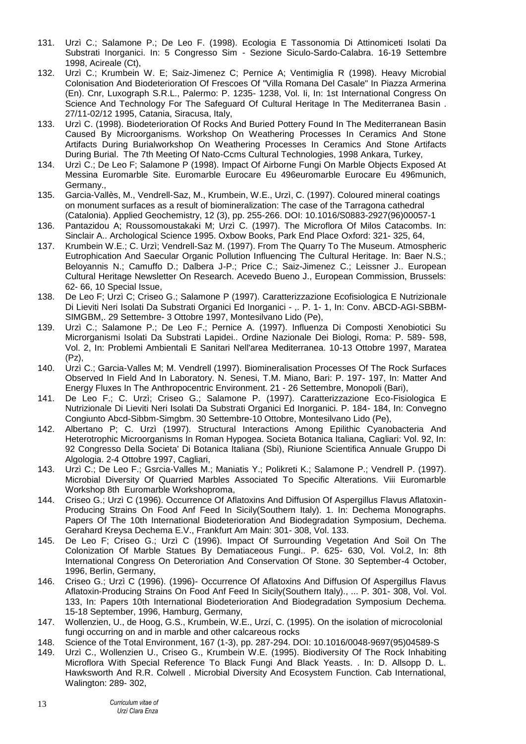- 131. Urzì C.; Salamone P.; De Leo F. (1998). Ecologia E Tassonomia Di Attinomiceti Isolati Da Substrati Inorganici. In: 5 Congresso Sim - Sezione Siculo-Sardo-Calabra. 16-19 Settembre 1998, Acireale (Ct),
- 132. Urzì C.; Krumbein W. E; Saiz-Jimenez C; Pernice A; Ventimiglia R (1998). Heavy Microbial Colonisation And Biodeterioration Of Frescoes Of "Villa Romana Del Casale" In Piazza Armerina (En). Cnr, Luxograph S.R.L., Palermo: P. 1235- 1238, Vol. Ii, In: 1st International Congress On Science And Technology For The Safeguard Of Cultural Heritage In The Mediterranea Basin . 27/11-02/12 1995, Catania, Siracusa, Italy,
- 133. Urzì C. (1998). Biodeterioration Of Rocks And Buried Pottery Found In The Mediterranean Basin Caused By Microorganisms. Workshop On Weathering Processes In Ceramics And Stone Artifacts During Burialworkshop On Weathering Processes In Ceramics And Stone Artifacts During Burial. The 7th Meeting Of Nato-Ccms Cultural Technologies, 1998 Ankara, Turkey,
- 134. Urzì C.; De Leo F; Salamone P (1998). Impact Of Airborne Fungi On Marble Objects Exposed At Messina Euromarble Site. Euromarble Eurocare Eu 496euromarble Eurocare Eu 496munich, Germany.,
- 135. Garcia-Vallès, M., Vendrell-Saz, M., Krumbein, W.E., Urzì, C. (1997). Coloured mineral coatings on monument surfaces as a result of biomineralization: The case of the Tarragona cathedral (Catalonia). Applied Geochemistry, 12 (3), pp. 255-266. DOI: 10.1016/S0883-2927(96)00057-1
- 136. Pantazidou A; Roussomoustakaki M; Urzì C. (1997). The Microflora Of Milos Catacombs. In: Sinclair A.. Archological Science 1995. Oxbow Books, Park End Place Oxford: 321- 325, 64,
- 137. Krumbein W.E.; C. Urzì; Vendrell-Saz M. (1997). From The Quarry To The Museum. Atmospheric Eutrophication And Saecular Organic Pollution Influencing The Cultural Heritage. In: Baer N.S.; Beloyannis N.; Camuffo D.; Dalbera J-P.; Price C.; Saiz-Jimenez C.; Leissner J.. European Cultural Heritage Newsletter On Research. Acevedo Bueno J., European Commission, Brussels: 62- 66, 10 Special Issue,
- 138. De Leo F; Urzì C; Criseo G.; Salamone P (1997). Caratterizzazione Ecofisiologica E Nutrizionale Di Lieviti Neri Isolati Da Substrati Organici Ed Inorganici - ,. P. 1- 1, In: Conv. ABCD-AGI-SBBM-SIMGBM,. 29 Settembre- 3 Ottobre 1997, Montesilvano Lido (Pe),
- 139. Urzì C.; Salamone P.; De Leo F.; Pernice A. (1997). Influenza Di Composti Xenobiotici Su Microrganismi Isolati Da Substrati Lapidei.. Ordine Nazionale Dei Biologi, Roma: P. 589- 598, Vol. 2, In: Problemi Ambientali E Sanitari Nell'area Mediterranea. 10-13 Ottobre 1997, Maratea (Pz),
- 140. Urzì C.; Garcia-Valles M; M. Vendrell (1997). Biomineralisation Processes Of The Rock Surfaces Observed In Field And In Laboratory. N. Senesi, T.M. Miano, Bari: P. 197- 197, In: Matter And Energy Fluxes In The Anthropocentric Environment. 21 - 26 Settembre, Monopoli (Bari),
- 141. De Leo F.; C. Urzì; Criseo G.; Salamone P. (1997). Caratterizzazione Eco-Fisiologica E Nutrizionale Di Lieviti Neri Isolati Da Substrati Organici Ed Inorganici. P. 184- 184, In: Convegno Congiunto Abcd-Sibbm-Simgbm. 30 Settembre-10 Ottobre, Montesilvano Lido (Pe),
- 142. Albertano P; C. Urzì (1997). Structural Interactions Among Epilithic Cyanobacteria And Heterotrophic Microorganisms In Roman Hypogea. Societa Botanica Italiana, Cagliari: Vol. 92, In: 92 Congresso Della Societa' Di Botanica Italiana (Sbi), Riunione Scientifica Annuale Gruppo Di Algologia. 2-4 Ottobre 1997, Cagliari,
- 143. Urzì C.; De Leo F.; Gsrcia-Valles M.; Maniatis Y.; Polikreti K.; Salamone P.; Vendrell P. (1997). Microbial Diversity Of Quarried Marbles Associated To Specific Alterations. Viii Euromarble Workshop 8th Euromarble Workshoproma,
- 144. Criseo G.; Urzì C (1996). Occurrence Of Aflatoxins And Diffusion Of Aspergillus Flavus Aflatoxin-Producing Strains On Food Anf Feed In Sicily(Southern Italy). 1. In: Dechema Monographs. Papers Of The 10th International Biodeterioration And Biodegradation Symposium, Dechema. Gerahard Kreysa Dechema E.V., Frankfurt Am Main: 301- 308, Vol. 133.
- 145. De Leo F; Criseo G.; Urzì C (1996). Impact Of Surrounding Vegetation And Soil On The Colonization Of Marble Statues By Dematiaceous Fungi.. P. 625- 630, Vol. Vol.2, In: 8th International Congress On Deteroriation And Conservation Of Stone. 30 September-4 October, 1996, Berlin, Germany,
- 146. Criseo G.; Urzì C (1996). (1996)- Occurrence Of Aflatoxins And Diffusion Of Aspergillus Flavus Aflatoxin-Producing Strains On Food Anf Feed In Sicily(Southern Italy)., ... P. 301- 308, Vol. Vol. 133, In: Papers 10th International Biodeterioration And Biodegradation Symposium Dechema. 15-18 September, 1996, Hamburg, Germany,
- 147. Wollenzien, U., de Hoog, G.S., Krumbein, W.E., Urzí, C. (1995). On the isolation of microcolonial fungi occurring on and in marble and other calcareous rocks
- 148. Science of the Total Environment, 167 (1-3), pp. 287-294. DOI: 10.1016/0048-9697(95)04589-S
- 149. Urzì C., Wollenzien U., Criseo G., Krumbein W.E. (1995). Biodiversity Of The Rock Inhabiting Microflora With Special Reference To Black Fungi And Black Yeasts. . In: D. Allsopp D. L. Hawksworth And R.R. Colwell . Microbial Diversity And Ecosystem Function. Cab International, Walington: 289- 302,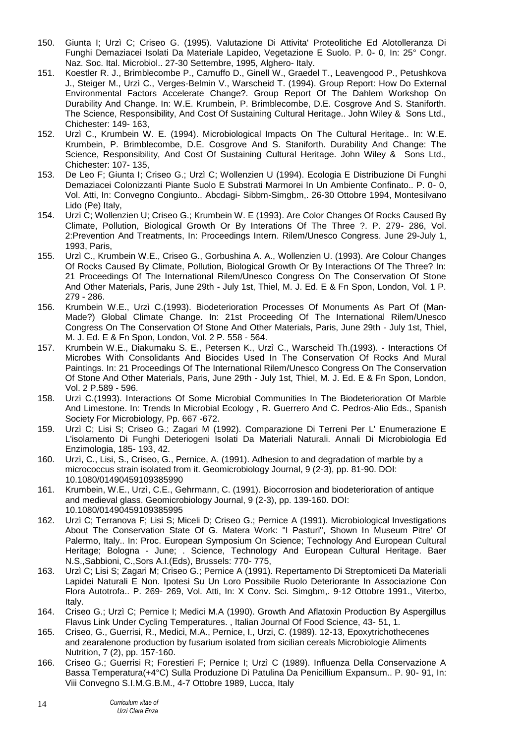- 150. Giunta I; Urzì C; Criseo G. (1995). Valutazione Di Attivita' Proteolitiche Ed Alotolleranza Di Funghi Demaziacei Isolati Da Materiale Lapideo, Vegetazione E Suolo. P. 0- 0, In: 25° Congr. Naz. Soc. Ital. Microbiol.. 27-30 Settembre, 1995, Alghero- Italy.
- 151. Koestler R. J., Brimblecombe P., Camuffo D., Ginell W., Graedel T., Leavengood P., Petushkova J., Steiger M., Urzì C., Verges-Belmin V., Warscheid T. (1994). Group Report: How Do External Environmental Factors Accelerate Change?. Group Report Of The Dahlem Workshop On Durability And Change. In: W.E. Krumbein, P. Brimblecombe, D.E. Cosgrove And S. Staniforth. The Science, Responsibility, And Cost Of Sustaining Cultural Heritage.. John Wiley & Sons Ltd., Chichester: 149- 163,
- 152. Urzì C., Krumbein W. E. (1994). Microbiological Impacts On The Cultural Heritage.. In: W.E. Krumbein, P. Brimblecombe, D.E. Cosgrove And S. Staniforth. Durability And Change: The Science, Responsibility, And Cost Of Sustaining Cultural Heritage. John Wiley & Sons Ltd., Chichester: 107- 135,
- 153. De Leo F; Giunta I; Criseo G.; Urzì C; Wollenzien U (1994). Ecologia E Distribuzione Di Funghi Demaziacei Colonizzanti Piante Suolo E Substrati Marmorei In Un Ambiente Confinato.. P. 0- 0, Vol. Atti, In: Convegno Congiunto.. Abcdagi- Sibbm-Simgbm,. 26-30 Ottobre 1994, Montesilvano Lido (Pe) Italy,
- 154. Urzì C; Wollenzien U; Criseo G.; Krumbein W. E (1993). Are Color Changes Of Rocks Caused By Climate, Pollution, Biological Growth Or By Interations Of The Three ?. P. 279- 286, Vol. 2:Prevention And Treatments, In: Proceedings Intern. Rilem/Unesco Congress. June 29-July 1, 1993, Paris,
- 155. Urzì C., Krumbein W.E., Criseo G., Gorbushina A. A., Wollenzien U. (1993). Are Colour Changes Of Rocks Caused By Climate, Pollution, Biological Growth Or By Interactions Of The Three? In: 21 Proceedings Of The International Rilem/Unesco Congress On The Conservation Of Stone And Other Materials, Paris, June 29th - July 1st, Thiel, M. J. Ed. E & Fn Spon, London, Vol. 1 P. 279 - 286.
- 156. Krumbein W.E., Urzì C.(1993). Biodeterioration Processes Of Monuments As Part Of (Man-Made?) Global Climate Change. In: 21st Proceeding Of The International Rilem/Unesco Congress On The Conservation Of Stone And Other Materials, Paris, June 29th - July 1st, Thiel, M. J. Ed. E & Fn Spon, London, Vol. 2 P. 558 - 564.
- 157. Krumbein W.E., Diakumaku S. E., Petersen K., Urzì C., Warscheid Th.(1993). Interactions Of Microbes With Consolidants And Biocides Used In The Conservation Of Rocks And Mural Paintings. In: 21 Proceedings Of The International Rilem/Unesco Congress On The Conservation Of Stone And Other Materials, Paris, June 29th - July 1st, Thiel, M. J. Ed. E & Fn Spon, London, Vol. 2 P.589 - 596.
- 158. Urzì C.(1993). Interactions Of Some Microbial Communities In The Biodeterioration Of Marble And Limestone. In: Trends In Microbial Ecology , R. Guerrero And C. Pedros-Alio Eds., Spanish Society For Microbiology, Pp. 667 -672.
- 159. Urzì C; Lisi S; Criseo G.; Zagari M (1992). Comparazione Di Terreni Per L' Enumerazione E L'isolamento Di Funghi Deteriogeni Isolati Da Materiali Naturali. Annali Di Microbiologia Ed Enzimologia, 185- 193, 42.
- 160. Urzì, C., Lisi, S., Criseo, G., Pernice, A. (1991). Adhesion to and degradation of marble by a micrococcus strain isolated from it. Geomicrobiology Journal, 9 (2-3), pp. 81-90. DOI: 10.1080/01490459109385990
- 161. Krumbein, W.E., Urzì, C.E., Gehrmann, C. (1991). Biocorrosion and biodeterioration of antique and medieval glass. Geomicrobiology Journal, 9 (2-3), pp. 139-160. DOI: 10.1080/01490459109385995
- 162. Urzì C; Terranova F; Lisi S; Miceli D; Criseo G.; Pernice A (1991). Microbiological Investigations About The Conservation State Of G. Matera Work: "I Pasturi", Shown In Museum Pitre' Of Palermo, Italy.. In: Proc. European Symposium On Science; Technology And European Cultural Heritage; Bologna - June; . Science, Technology And European Cultural Heritage. Baer N.S.,Sabbioni, C.,Sors A.I.(Eds), Brussels: 770- 775,
- 163. Urzì C; Lisi S; Zagari M; Criseo G.; Pernice A (1991). Repertamento Di Streptomiceti Da Materiali Lapidei Naturali E Non. Ipotesi Su Un Loro Possibile Ruolo Deteriorante In Associazione Con Flora Autotrofa.. P. 269- 269, Vol. Atti, In: X Conv. Sci. Simgbm,. 9-12 Ottobre 1991., Viterbo, Italy.
- 164. Criseo G.; Urzì C; Pernice I; Medici M.A (1990). Growth And Aflatoxin Production By Aspergillus Flavus Link Under Cycling Temperatures. , Italian Journal Of Food Science, 43- 51, 1.
- 165. Criseo, G., Guerrisi, R., Medici, M.A., Pernice, I., Urzi, C. (1989). 12-13, Epoxytrichothecenes and zearalenone production by fusarium isolated from sicilian cereals Microbiologie Aliments Nutrition, 7 (2), pp. 157-160.
- 166. Criseo G.; Guerrisi R; Forestieri F; Pernice I; Urzì C (1989). Influenza Della Conservazione A Bassa Temperatura(+4°C) Sulla Produzione Di Patulina Da Penicillium Expansum.. P. 90- 91, In: Viii Convegno S.I.M.G.B.M., 4-7 Ottobre 1989, Lucca, Italy